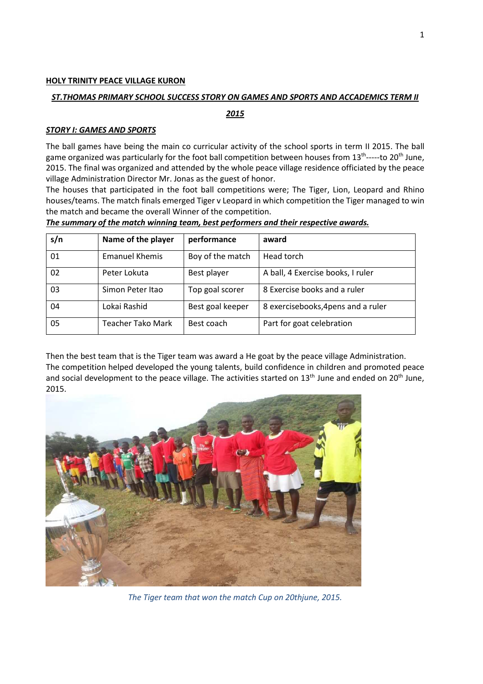### **HOLY TRINITY PEACE VILLAGE KURON**

#### *ST.THOMAS PRIMARY SCHOOL SUCCESS STORY ON GAMES AND SPORTS AND ACCADEMICS TERM II*

*2015* 

#### *STORY I: GAMES AND SPORTS*

The ball games have being the main co curricular activity of the school sports in term II 2015. The ball game organized was particularly for the foot ball competition between houses from  $13^{th}$ -----to  $20^{th}$  June, 2015. The final was organized and attended by the whole peace village residence officiated by the peace village Administration Director Mr. Jonas as the guest of honor.

The houses that participated in the foot ball competitions were; The Tiger, Lion, Leopard and Rhino houses/teams. The match finals emerged Tiger v Leopard in which competition the Tiger managed to win the match and became the overall Winner of the competition.

| s/n | Name of the player    | performance      | award                               |  |
|-----|-----------------------|------------------|-------------------------------------|--|
| 01  | <b>Emanuel Khemis</b> | Boy of the match | Head torch                          |  |
| 02  | Peter Lokuta          | Best player      | A ball, 4 Exercise books, I ruler   |  |
| 03  | Simon Peter Itao      | Top goal scorer  | 8 Exercise books and a ruler        |  |
| 04  | Lokai Rashid          | Best goal keeper | 8 exercisebooks, 4 pens and a ruler |  |
| 05  | Teacher Tako Mark     | Best coach       | Part for goat celebration           |  |

Then the best team that is the Tiger team was award a He goat by the peace village Administration. The competition helped developed the young talents, build confidence in children and promoted peace and social development to the peace village. The activities started on 13<sup>th</sup> June and ended on 20<sup>th</sup> June, 2015.



*The Tiger team that won the match Cup on 20thjune, 2015.*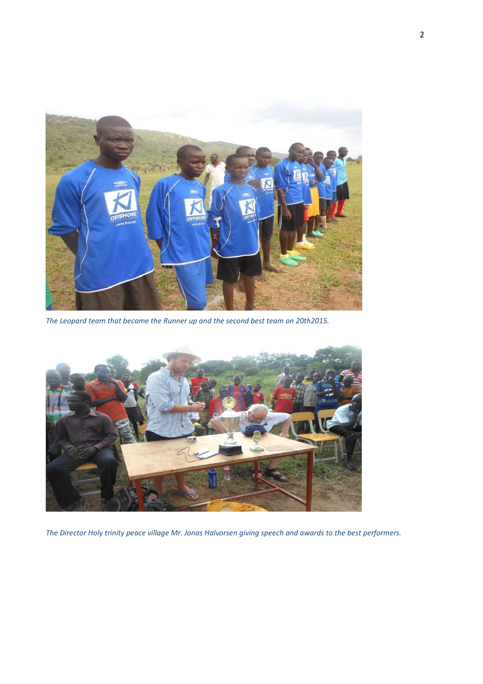

*The Leopard team that became the Runner up and the second best team on 20th2015.* 



*The Director Holy trinity peace village Mr. Jonas Halvorsen giving speech and awards to the best performers.*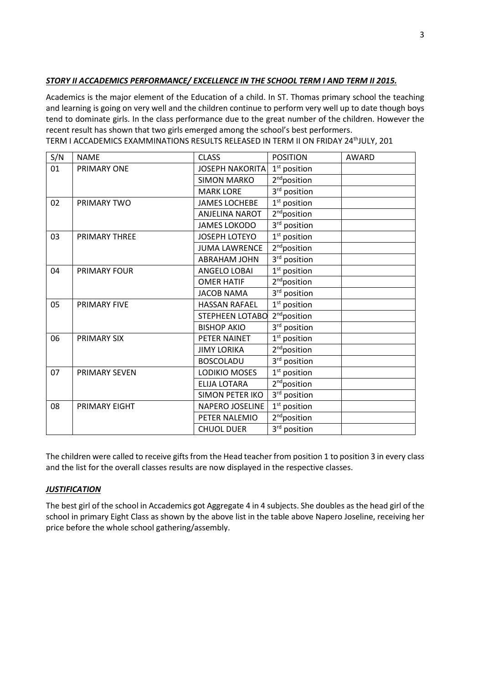# *STORY II ACCADEMICS PERFORMANCE/ EXCELLENCE IN THE SCHOOL TERM I AND TERM II 2015.*

Academics is the major element of the Education of a child. In ST. Thomas primary school the teaching and learning is going on very well and the children continue to perform very well up to date though boys tend to dominate girls. In the class performance due to the great number of the children. However the recent result has shown that two girls emerged among the school's best performers.

| S/N | <b>NAME</b>          | <b>CLASS</b>           | <b>POSITION</b>          | <b>AWARD</b> |
|-----|----------------------|------------------------|--------------------------|--------------|
| 01  | PRIMARY ONE          | <b>JOSEPH NAKORITA</b> | $1st$ position           |              |
|     |                      | <b>SIMON MARKO</b>     | 2 <sup>nd</sup> position |              |
|     |                      | <b>MARK LORE</b>       | 3 <sup>rd</sup> position |              |
| 02  | PRIMARY TWO          | <b>JAMES LOCHEBE</b>   | $1st$ position           |              |
|     |                      | <b>ANJELINA NAROT</b>  | 2 <sup>nd</sup> position |              |
|     |                      | <b>JAMES LOKODO</b>    | 3 <sup>rd</sup> position |              |
| 03  | <b>PRIMARY THREE</b> | <b>JOSEPH LOTEYO</b>   | $1st$ position           |              |
|     |                      | <b>JUMA LAWRENCE</b>   | 2 <sup>nd</sup> position |              |
|     |                      | <b>ABRAHAM JOHN</b>    | 3 <sup>rd</sup> position |              |
| 04  | <b>PRIMARY FOUR</b>  | <b>ANGELO LOBAI</b>    | $1st$ position           |              |
|     |                      | <b>OMER HATIF</b>      | 2 <sup>nd</sup> position |              |
|     |                      | <b>JACOB NAMA</b>      | 3 <sup>rd</sup> position |              |
| 05  | <b>PRIMARY FIVE</b>  | <b>HASSAN RAFAEL</b>   | $1st$ position           |              |
|     |                      | <b>STEPHEEN LOTABO</b> | 2 <sup>nd</sup> position |              |
|     |                      | <b>BISHOP AKIO</b>     | 3 <sup>rd</sup> position |              |
| 06  | PRIMARY SIX          | PETER NAINET           | $1st$ position           |              |
|     |                      | <b>JIMY LORIKA</b>     | 2 <sup>nd</sup> position |              |
|     |                      | <b>BOSCOLADU</b>       | 3rd position             |              |
| 07  | <b>PRIMARY SEVEN</b> | LODIKIO MOSES          | $1st$ position           |              |
|     |                      | <b>ELIJA LOTARA</b>    | 2 <sup>nd</sup> position |              |
|     |                      | <b>SIMON PETER IKO</b> | 3rd position             |              |
| 08  | PRIMARY EIGHT        | <b>NAPERO JOSELINE</b> | $1st$ position           |              |
|     |                      | PETER NALEMIO          | 2 <sup>nd</sup> position |              |
|     |                      | <b>CHUOL DUER</b>      | 3rd position             |              |

TERM I ACCADEMICS EXAMMINATIONS RESULTS RELEASED IN TERM II ON FRIDAY 24thJULY, 201

The children were called to receive gifts from the Head teacher from position 1 to position 3 in every class and the list for the overall classes results are now displayed in the respective classes.

## *JUSTIFICATION*

The best girl of the school in Accademics got Aggregate 4 in 4 subjects. She doubles as the head girl of the school in primary Eight Class as shown by the above list in the table above Napero Joseline, receiving her price before the whole school gathering/assembly.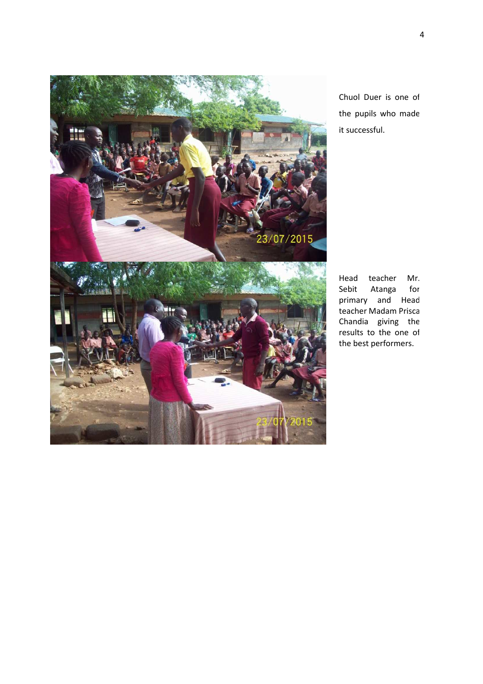

Chuol Duer is one of the pupils who made it successful.

Head teacher Mr. Sebit Atanga for primary and Head teacher Madam Prisca Chandia giving the results to the one of the best performers.